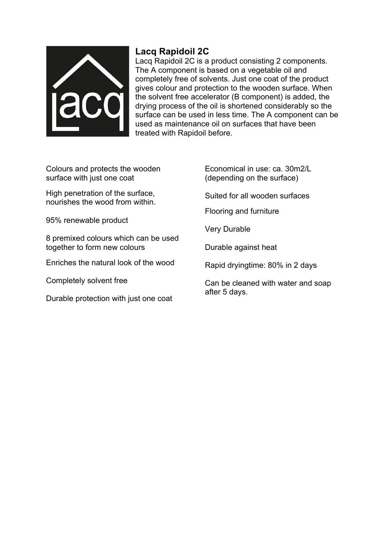

## **Lacq Rapidoil 2C**

Lacq Rapidoil 2C is a product consisting 2 components. The A component is based on a vegetable oil and completely free of solvents. Just one coat of the product gives colour and protection to the wooden surface. When the solvent free accelerator (B component) is added, the drying process of the oil is shortened considerably so the surface can be used in less time. The A component can be used as maintenance oil on surfaces that have been treated with Rapidoil before.

Colours and protects the wooden surface with just one coat

High penetration of the surface, nourishes the wood from within.

95% renewable product

8 premixed colours which can be used together to form new colours

Enriches the natural look of the wood

Completely solvent free

Durable protection with just one coat

- Economical in use: ca. 30m2/L (depending on the surface)
- Suited for all wooden surfaces

Flooring and furniture

Very Durable

Durable against heat

Rapid dryingtime: 80% in 2 days

Can be cleaned with water and soap after 5 days.